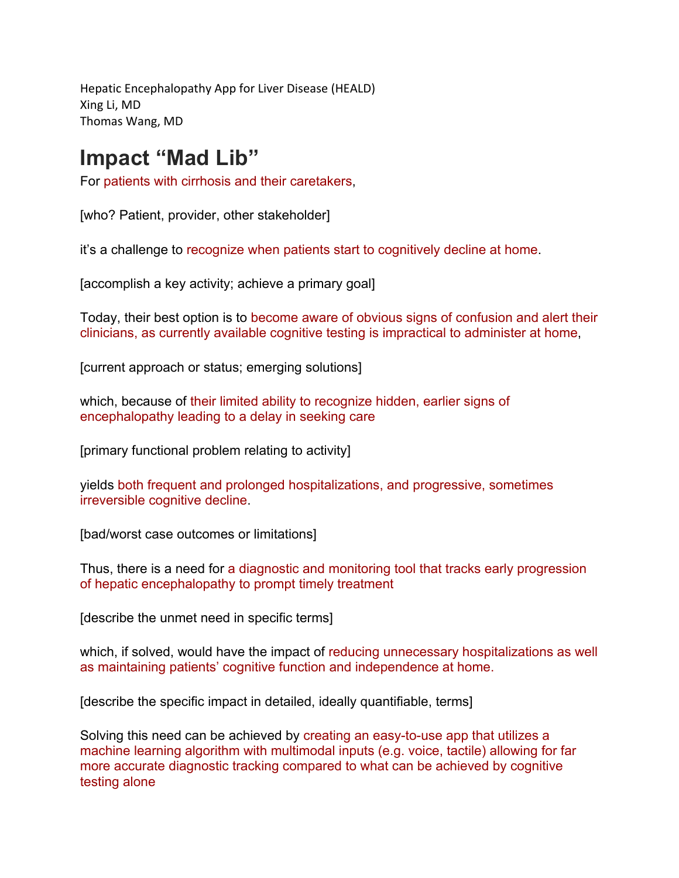Hepatic Encephalopathy App for Liver Disease (HEALD) Xing Li, MD Thomas Wang, MD

## **Impact "Mad Lib"**

For patients with cirrhosis and their caretakers,

[who? Patient, provider, other stakeholder]

it's a challenge to recognize when patients start to cognitively decline at home.

[accomplish a key activity; achieve a primary goal]

Today, their best option is to become aware of obvious signs of confusion and alert their clinicians, as currently available cognitive testing is impractical to administer at home,

[current approach or status; emerging solutions]

which, because of their limited ability to recognize hidden, earlier signs of encephalopathy leading to a delay in seeking care

[primary functional problem relating to activity]

yields both frequent and prolonged hospitalizations, and progressive, sometimes irreversible cognitive decline.

[bad/worst case outcomes or limitations]

Thus, there is a need for a diagnostic and monitoring tool that tracks early progression of hepatic encephalopathy to prompt timely treatment

[describe the unmet need in specific terms]

which, if solved, would have the impact of reducing unnecessary hospitalizations as well as maintaining patients' cognitive function and independence at home.

[describe the specific impact in detailed, ideally quantifiable, terms]

Solving this need can be achieved by creating an easy-to-use app that utilizes a machine learning algorithm with multimodal inputs (e.g. voice, tactile) allowing for far more accurate diagnostic tracking compared to what can be achieved by cognitive testing alone